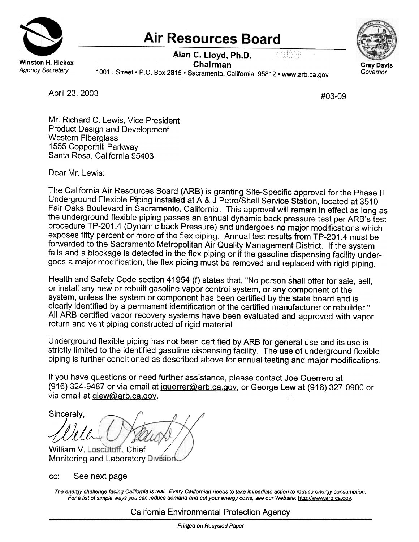

## **Air Resources Board**

Alan C. Lloyd, Ph.D. Chairman

estera



1001 I Street . P.O. Box 2815 . Sacramento, California 95812 . www.arb.ca.gov

April 23, 2003 **#03-09** 

Mr. Richard C. Lewis, Vice President Product Design and Development Western Fiberglass 1555 Copperhill Parkway Santa Rosa, California 95403

Dear Mr. Lewis:

The California Air Resources Board (ARB) is granting Site-Specific approval for the Phase II Underground Flexible Piping installed at A & J Petro/Shell Service Station, located at 3510 Fair Oaks Boulevard in Sacramento, California. This approval will remain in effect as long as the underground flexible piping passes an annual dynamic back pressure test per ARB's test procedure TP-201.4 (Dynamic back Pressure) and undergoes no major modifications which exposes fifty percent or more of the flex piping. Annual test results from TP-201.4 must be forwarded to the Sacramento Metropolitan Air Quality Management District. If the system fails and a blockage is detected in the flex piping or if the gasoline dispensing facility undergoes a major modification, the flex piping must be removed and replaced with rigid piping.

Health and Safety Code section 41954 (f) states that, "No person shall offer for sale, sell, or install any new or rebuilt gasoline vapor control system, or any component of the system, unless the system or component has been certified by the state board and is clearly identified by a permanent identification of the certified manufacturer or rebuilder." All ARB certified vapor recovery systems have been evaluated and approved with vapor return and vent piping constructed of rigid material.

Underground flexible piping has not been certified by ARB for general use and its use is strictly limited to the identified gasoline dispensing facility. The use of underground flexible piping is further conditioned as described above for annual testing and major modifications.

If you have questions or need further assistance, please contact Joe Guerrero at (916) 324-9487 or via email at jouerrer@arb.ca.gov, or George Lew at (916) 327-0900 or via email at glew@arb.ca.gov.

/ Sincerely, Wu William V. Loscutoff, Chief

Monitoring and Laboratory Division

cc: See next page

The energy challenge facing Califomia is real. Every Califomian needs to take immediate action to reduce energy consumption. For a list of simple ways you can reduce demand and cut your energy costs, see our Website: http://www.arb.ca.gov.

California Environmental Protection Agency